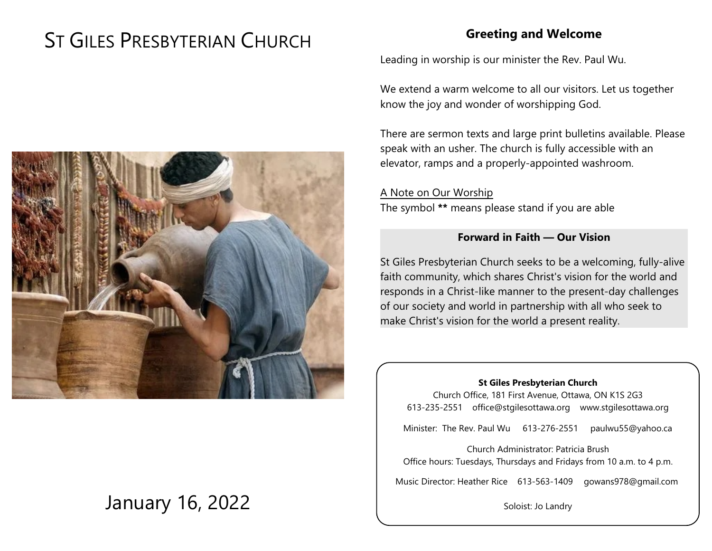# ST GILES PRESBYTERIAN CHURCH

### **Greeting and Welcome**

Leading in worship is our minister the Rev. Paul Wu.

We extend a warm welcome to all our visitors. Let us together know the joy and wonder of worshipping God.

There are sermon texts and large print bulletins available. Please speak with an usher. The church is fully accessible with an elevator, ramps and a properly-appointed washroom.

A Note on Our Worship The symbol **\*\*** means please stand if you are able

#### **Forward in Faith — Our Vision**

St Giles Presbyterian Church seeks to be a welcoming, fully-alive faith community, which shares Christ's vision for the world and responds in a Christ-like manner to the present-day challenges of our society and world in partnership with all who seek to make Christ's vision for the world a present reality.

**St Giles Presbyterian Church**

Church Office, 181 First Avenue, Ottawa, ON K1S 2G3 613-235-2551 office@stgilesottawa.org www.stgilesottawa.org

Minister: The Rev. Paul Wu 613-276-2551 paulwu55@yahoo.ca

Church Administrator: Patricia Brush Office hours: Tuesdays, Thursdays and Fridays from 10 a.m. to 4 p.m.

Music Director: Heather Rice 613-563-1409 gowans978@gmail.com

Soloist: Jo Landry



# January 16, 2022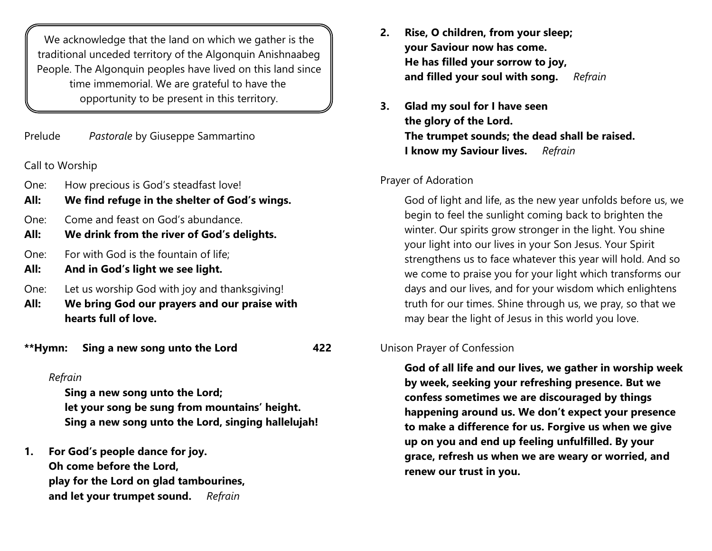We acknowledge that the land on which we gather is the traditional unceded territory of the Algonquin Anishnaabeg People. The Algonquin peoples have lived on this land since time immemorial. We are grateful to have the opportunity to be present in this territory.

Prelude *Pastorale* by Giuseppe Sammartino

Call to Worship

- One: How precious is God's steadfast love!
- **All: We find refuge in the shelter of God's wings.**
- One: Come and feast on God's abundance.
- **All: We drink from the river of God's delights.**
- One: For with God is the fountain of life;
- **All: And in God's light we see light.**
- One: Let us worship God with joy and thanksgiving!
- **All: We bring God our prayers and our praise with hearts full of love.**

**\*\*Hymn: Sing a new song unto the Lord 422**

*Refrain*

**Sing a new song unto the Lord; let your song be sung from mountains' height. Sing a new song unto the Lord, singing hallelujah!**

**1. For God's people dance for joy. Oh come before the Lord, play for the Lord on glad tambourines, and let your trumpet sound.** *Refrain*

- **2. Rise, O children, from your sleep; your Saviour now has come. He has filled your sorrow to joy, and filled your soul with song.** *Refrain*
- **3. Glad my soul for I have seen the glory of the Lord. The trumpet sounds; the dead shall be raised. I know my Saviour lives.** *Refrain*

#### Prayer of Adoration

God of light and life, as the new year unfolds before us, we begin to feel the sunlight coming back to brighten the winter. Our spirits grow stronger in the light. You shine your light into our lives in your Son Jesus. Your Spirit strengthens us to face whatever this year will hold. And so we come to praise you for your light which transforms our days and our lives, and for your wisdom which enlightens truth for our times. Shine through us, we pray, so that we may bear the light of Jesus in this world you love.

Unison Prayer of Confession

**God of all life and our lives, we gather in worship week by week, seeking your refreshing presence. But we confess sometimes we are discouraged by things happening around us. We don't expect your presence to make a difference for us. Forgive us when we give up on you and end up feeling unfulfilled. By your grace, refresh us when we are weary or worried, and renew our trust in you.**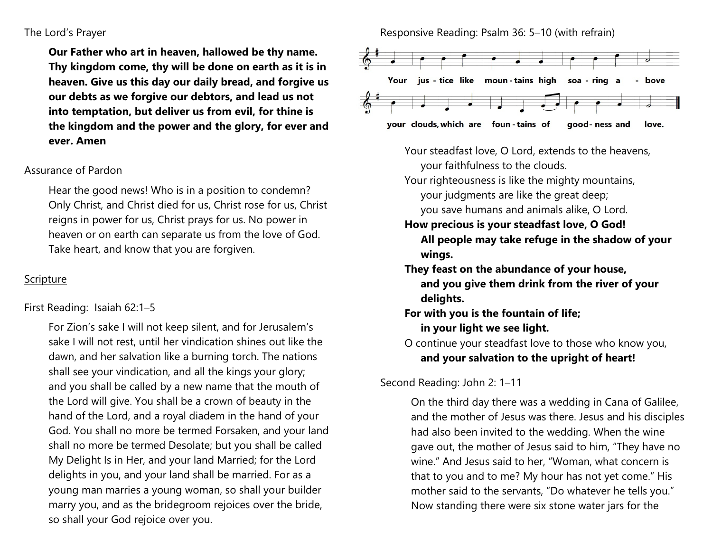#### The Lord's Prayer

**Our Father who art in heaven, hallowed be thy name. Thy kingdom come, thy will be done on earth as it is in heaven. Give us this day our daily bread, and forgive us our debts as we forgive our debtors, and lead us not into temptation, but deliver us from evil, for thine is the kingdom and the power and the glory, for ever and ever. Amen**

#### Assurance of Pardon

Hear the good news! Who is in a position to condemn? Only Christ, and Christ died for us, Christ rose for us, Christ reigns in power for us, Christ prays for us. No power in heaven or on earth can separate us from the love of God. Take heart, and know that you are forgiven.

#### Scripture

#### First Reading: Isaiah 62:1–5

For Zion's sake I will not keep silent, and for Jerusalem's sake I will not rest, until her vindication shines out like the dawn, and her salvation like a burning torch. The nations shall see your vindication, and all the kings your glory; and you shall be called by a new name that the mouth of the Lord will give. You shall be a crown of beauty in the hand of the Lord, and a royal diadem in the hand of your God. You shall no more be termed Forsaken, and your land shall no more be termed Desolate; but you shall be called My Delight Is in Her, and your land Married; for the Lord delights in you, and your land shall be married. For as a young man marries a young woman, so shall your builder marry you, and as the bridegroom rejoices over the bride, so shall your God rejoice over you.

Responsive Reading: Psalm 36: 5–10 (with refrain)



Your steadfast love, O Lord, extends to the heavens, your faithfulness to the clouds.

- Your righteousness is like the mighty mountains, your judgments are like the great deep;
	- you save humans and animals alike, O Lord.
- **How precious is your steadfast love, O God! All people may take refuge in the shadow of your wings.**
- **They feast on the abundance of your house, and you give them drink from the river of your delights.**
- **For with you is the fountain of life; in your light we see light.**
- O continue your steadfast love to those who know you, **and your salvation to the upright of heart!**

Second Reading: John 2: 1–11

On the third day there was a wedding in Cana of Galilee, and the mother of Jesus was there. Jesus and his disciples had also been invited to the wedding. When the wine gave out, the mother of Jesus said to him, "They have no wine." And Jesus said to her, "Woman, what concern is that to you and to me? My hour has not yet come." His mother said to the servants, "Do whatever he tells you." Now standing there were six stone water jars for the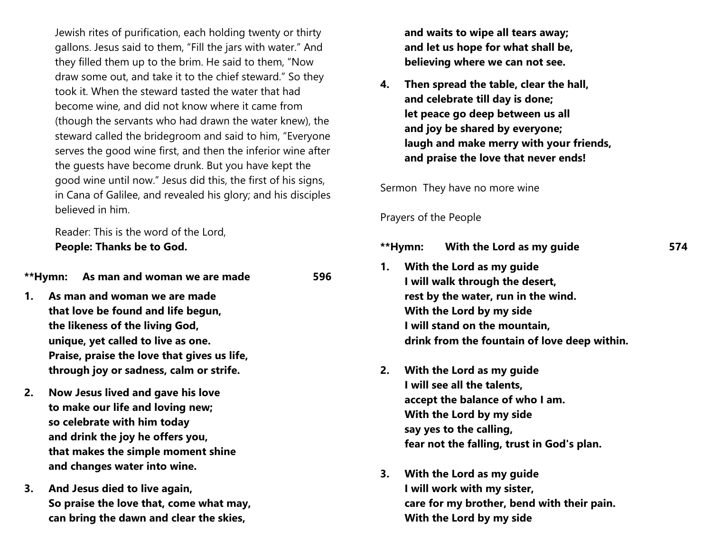Jewish rites of purification, each holding twenty or thirty gallons. Jesus said to them, "Fill the jars with water." And they filled them up to the brim. He said to them, "Now draw some out, and take it to the chief steward." So they took it. When the steward tasted the water that had become wine, and did not know where it came from (though the servants who had drawn the water knew), the steward called the bridegroom and said to him, "Everyone serves the good wine first, and then the inferior wine after the guests have become drunk. But you have kept the good wine until now." Jesus did this, the first of his signs, in Cana of Galilee, and revealed his glory; and his disciples believed in him.

Reader: This is the word of the Lord, **People: Thanks be to God.**

**\*\*Hymn: As man and woman we are made 596**

- **1. As man and woman we are made that love be found and life begun, the likeness of the living God, unique, yet called to live as one. Praise, praise the love that gives us life, through joy or sadness, calm or strife.**
- **2. Now Jesus lived and gave his love to make our life and loving new; so celebrate with him today and drink the joy he offers you, that makes the simple moment shine and changes water into wine.**
- **3. And Jesus died to live again, So praise the love that, come what may, can bring the dawn and clear the skies,**

**and waits to wipe all tears away; and let us hope for what shall be, believing where we can not see.**

**4. Then spread the table, clear the hall, and celebrate till day is done; let peace go deep between us all and joy be shared by everyone; laugh and make merry with your friends, and praise the love that never ends!**

Sermon They have no more wine

Prayers of the People

|    | **Hymn:<br>With the Lord as my guide                                                                                                                                                                             | 574 |
|----|------------------------------------------------------------------------------------------------------------------------------------------------------------------------------------------------------------------|-----|
| 1. | With the Lord as my guide<br>I will walk through the desert,<br>rest by the water, run in the wind.<br>With the Lord by my side<br>I will stand on the mountain,<br>drink from the fountain of love deep within. |     |
| 2. | With the Lord as my guide<br>I will see all the talents,<br>accept the balance of who I am.<br>With the Lord by my side<br>say yes to the calling,<br>fear not the falling, trust in God's plan.                 |     |
| 3. | With the Lord as my guide<br>I will work with my sister,                                                                                                                                                         |     |

**care for my brother, bend with their pain.**

**With the Lord by my side**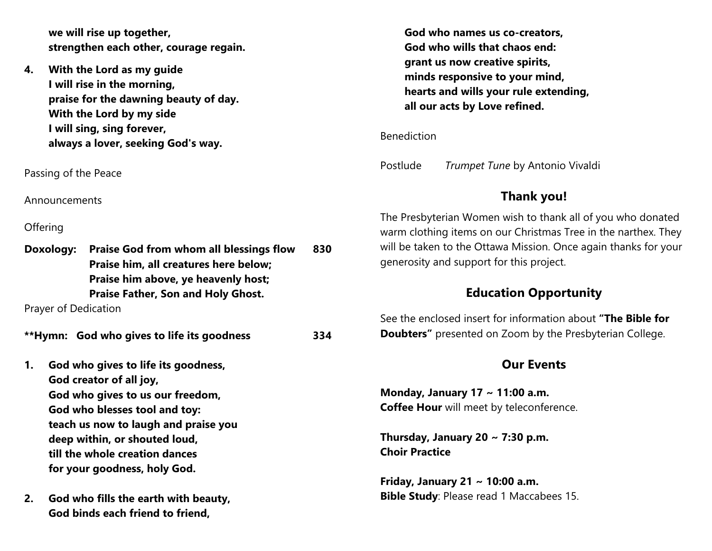**we will rise up together, strengthen each other, courage regain.**

**4. With the Lord as my guide I will rise in the morning, praise for the dawning beauty of day. With the Lord by my side I will sing, sing forever, always a lover, seeking God's way.**

Passing of the Peace

Announcements

**Offering** 

**Doxology: Praise God from whom all blessings flow 830 Praise him, all creatures here below; Praise him above, ye heavenly host; Praise Father, Son and Holy Ghost.** Prayer of Dedication

**\*\*Hymn: God who gives to life its goodness 334**

- **1. God who gives to life its goodness, God creator of all joy, God who gives to us our freedom, God who blesses tool and toy: teach us now to laugh and praise you deep within, or shouted loud, till the whole creation dances for your goodness, holy God.**
- **2. God who fills the earth with beauty, God binds each friend to friend,**

**God who names us co-creators, God who wills that chaos end: grant us now creative spirits, minds responsive to your mind, hearts and wills your rule extending, all our acts by Love refined.**

Benediction

Postlude *Trumpet Tune* by Antonio Vivaldi

# **Thank you!**

The Presbyterian Women wish to thank all of you who donated warm clothing items on our Christmas Tree in the narthex. They will be taken to the Ottawa Mission. Once again thanks for your generosity and support for this project.

# **Education Opportunity**

See the enclosed insert for information about **"The Bible for Doubters"** presented on Zoom by the Presbyterian College.

### **Our Events**

**Monday, January 17 ~ 11:00 a.m. Coffee Hour** will meet by teleconference.

**Thursday, January 20 ~ 7:30 p.m. Choir Practice**

**Friday, January 21 ~ 10:00 a.m. Bible Study**: Please read 1 Maccabees 15.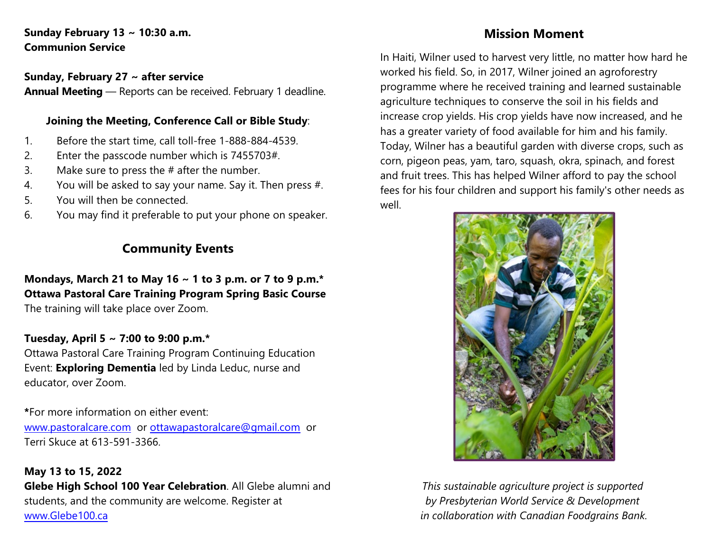#### **Sunday February 13 ~ 10:30 a.m. Communion Service**

**Sunday, February 27 ~ after service**

**Annual Meeting** — Reports can be received. February 1 deadline.

### **Joining the Meeting, Conference Call or Bible Study**:

- 1. Before the start time, call toll-free 1-888-884-4539.
- 2. Enter the passcode number which is 7455703#.
- 3. Make sure to press the  $#$  after the number.
- 4. You will be asked to say your name. Say it. Then press #.
- 5. You will then be connected.
- 6. You may find it preferable to put your phone on speaker.

# **Community Events**

# **Mondays, March 21 to May 16 ~ 1 to 3 p.m. or 7 to 9 p.m.\* Ottawa Pastoral Care Training Program Spring Basic Course**

The training will take place over Zoom.

### **Tuesday, April 5 ~ 7:00 to 9:00 p.m.\***

Ottawa Pastoral Care Training Program Continuing Education Event: **Exploring Dementia** led by Linda Leduc, nurse and educator, over Zoom.

**\***For more information on either event: [www.pastoralcare.com](http://www.pastoralcare.com) or [ottawapastoralcare@gmail.com](mailto:ottawapastoralcare@gmail.com) or Terri Skuce at 613-591-3366.

#### **May 13 to 15, 2022 Glebe High School 100 Year Celebration**. All Glebe alumni and students, and the community are welcome. Register at [www.Glebe100.ca](http://www.Glebe100.ca)

# **Mission Moment**

In Haiti, Wilner used to harvest very little, no matter how hard he worked his field. So, in 2017, Wilner joined an agroforestry programme where he received training and learned sustainable agriculture techniques to conserve the soil in his fields and increase crop yields. His crop yields have now increased, and he has a greater variety of food available for him and his family. Today, Wilner has a beautiful garden with diverse crops, such as corn, pigeon peas, yam, taro, squash, okra, spinach, and forest and fruit trees. This has helped Wilner afford to pay the school fees for his four children and support his family's other needs as well.



*This sustainable agriculture project is supported by Presbyterian World Service & Development in collaboration with Canadian Foodgrains Bank.*